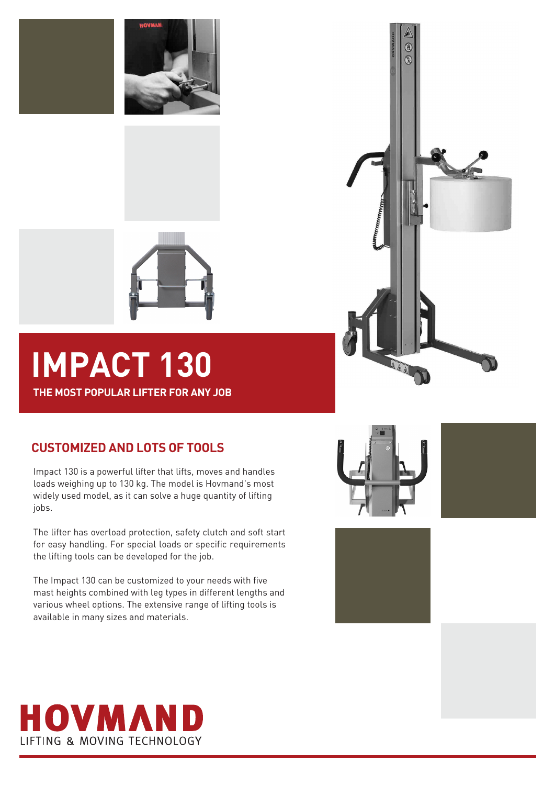





# **IMPACT 130**

**THE MOST POPULAR LIFTER FOR ANY JOB**

## **CUSTOMIZED AND LOTS OF TOOLS**

Impact 130 is a powerful lifter that lifts, moves and handles loads weighing up to 130 kg. The model is Hovmand's most widely used model, as it can solve a huge quantity of lifting jobs.

The lifter has overload protection, safety clutch and soft start for easy handling. For special loads or specific requirements the lifting tools can be developed for the job.

The Impact 130 can be customized to your needs with five mast heights combined with leg types in different lengths and various wheel options. The extensive range of lifting tools is available in many sizes and materials.